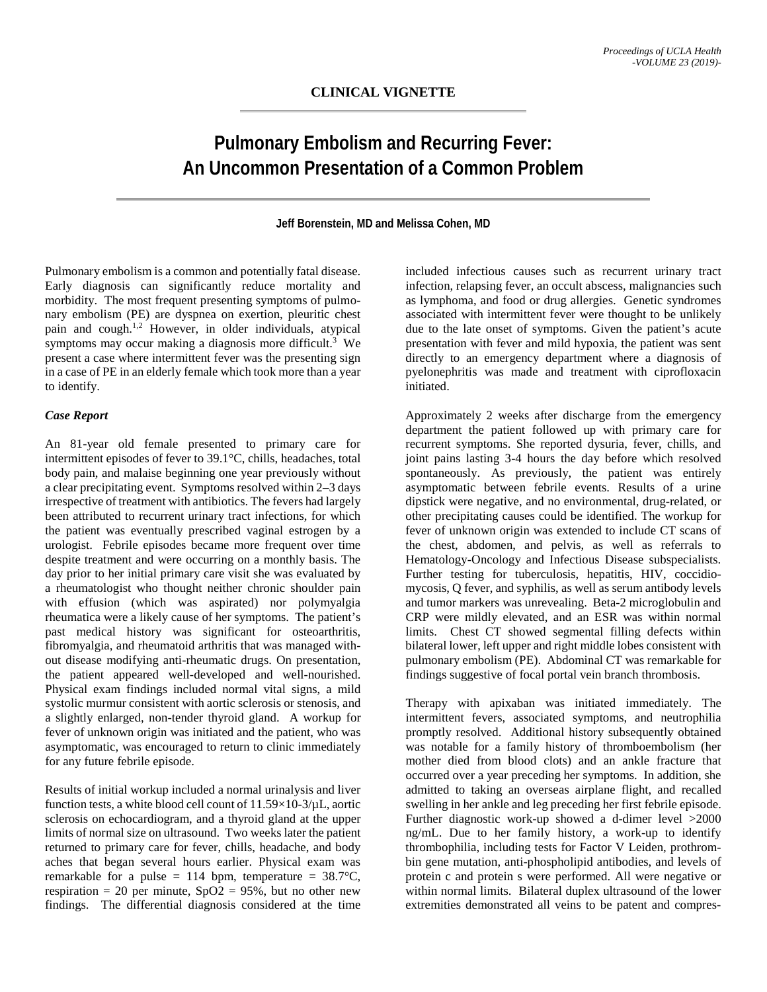# **Pulmonary Embolism and Recurring Fever: An Uncommon Presentation of a Common Problem**

#### **Jeff Borenstein, MD and Melissa Cohen, MD**

Pulmonary embolism is a common and potentially fatal disease. Early diagnosis can significantly reduce mortality and morbidity. The most frequent presenting symptoms of pulmonary embolism (PE) are dyspnea on exertion, pleuritic chest pain and cough.1,2 However, in older individuals, atypical symptoms may occur making a diagnosis more difficult.<sup>3</sup> We present a case where intermittent fever was the presenting sign in a case of PE in an elderly female which took more than a year to identify.

#### *Case Report*

An 81-year old female presented to primary care for intermittent episodes of fever to 39.1°C, chills, headaches, total body pain, and malaise beginning one year previously without a clear precipitating event. Symptoms resolved within 2–3 days irrespective of treatment with antibiotics. The fevers had largely been attributed to recurrent urinary tract infections, for which the patient was eventually prescribed vaginal estrogen by a urologist. Febrile episodes became more frequent over time despite treatment and were occurring on a monthly basis. The day prior to her initial primary care visit she was evaluated by a rheumatologist who thought neither chronic shoulder pain with effusion (which was aspirated) nor polymyalgia rheumatica were a likely cause of her symptoms. The patient's past medical history was significant for osteoarthritis, fibromyalgia, and rheumatoid arthritis that was managed without disease modifying anti-rheumatic drugs. On presentation, the patient appeared well-developed and well-nourished. Physical exam findings included normal vital signs, a mild systolic murmur consistent with aortic sclerosis or stenosis, and a slightly enlarged, non-tender thyroid gland. A workup for fever of unknown origin was initiated and the patient, who was asymptomatic, was encouraged to return to clinic immediately for any future febrile episode.

Results of initial workup included a normal urinalysis and liver function tests, a white blood cell count of 11.59×10-3/µL, aortic sclerosis on echocardiogram, and a thyroid gland at the upper limits of normal size on ultrasound. Two weeks later the patient returned to primary care for fever, chills, headache, and body aches that began several hours earlier. Physical exam was remarkable for a pulse = 114 bpm, temperature =  $38.7^{\circ}$ C, respiration = 20 per minute,  $SpO2 = 95\%$ , but no other new findings. The differential diagnosis considered at the time

included infectious causes such as recurrent urinary tract infection, relapsing fever, an occult abscess, malignancies such as lymphoma, and food or drug allergies. Genetic syndromes associated with intermittent fever were thought to be unlikely due to the late onset of symptoms. Given the patient's acute presentation with fever and mild hypoxia, the patient was sent directly to an emergency department where a diagnosis of pyelonephritis was made and treatment with ciprofloxacin initiated.

Approximately 2 weeks after discharge from the emergency department the patient followed up with primary care for recurrent symptoms. She reported dysuria, fever, chills, and joint pains lasting 3-4 hours the day before which resolved spontaneously. As previously, the patient was entirely asymptomatic between febrile events. Results of a urine dipstick were negative, and no environmental, drug-related, or other precipitating causes could be identified. The workup for fever of unknown origin was extended to include CT scans of the chest, abdomen, and pelvis, as well as referrals to Hematology-Oncology and Infectious Disease subspecialists. Further testing for tuberculosis, hepatitis, HIV, coccidiomycosis, Q fever, and syphilis, as well as serum antibody levels and tumor markers was unrevealing. Beta-2 microglobulin and CRP were mildly elevated, and an ESR was within normal limits. Chest CT showed segmental filling defects within bilateral lower, left upper and right middle lobes consistent with pulmonary embolism (PE). Abdominal CT was remarkable for findings suggestive of focal portal vein branch thrombosis.

Therapy with apixaban was initiated immediately. The intermittent fevers, associated symptoms, and neutrophilia promptly resolved. Additional history subsequently obtained was notable for a family history of thromboembolism (her mother died from blood clots) and an ankle fracture that occurred over a year preceding her symptoms. In addition, she admitted to taking an overseas airplane flight, and recalled swelling in her ankle and leg preceding her first febrile episode. Further diagnostic work-up showed a d-dimer level >2000 ng/mL. Due to her family history, a work-up to identify thrombophilia, including tests for Factor V Leiden, prothrombin gene mutation, anti-phospholipid antibodies, and levels of protein c and protein s were performed. All were negative or within normal limits. Bilateral duplex ultrasound of the lower extremities demonstrated all veins to be patent and compres-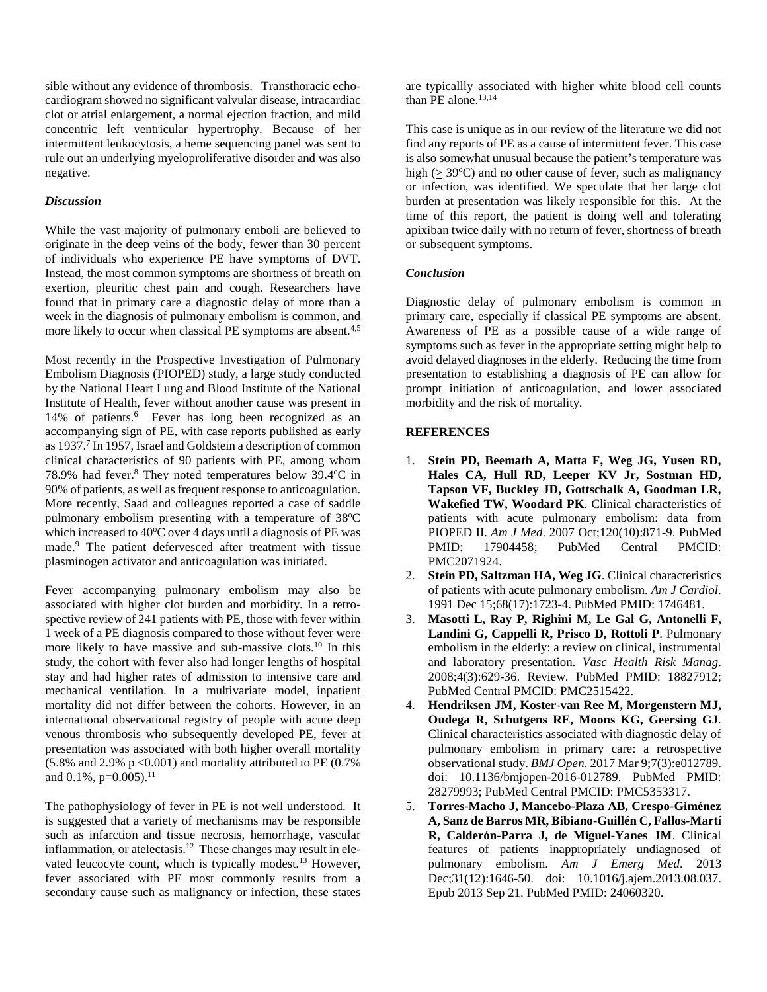sible without any evidence of thrombosis. Transthoracic echocardiogram showed no significant valvular disease, intracardiac clot or atrial enlargement, a normal ejection fraction, and mild concentric left ventricular hypertrophy. Because of her intermittent leukocytosis, a heme sequencing panel was sent to rule out an underlying myeloproliferative disorder and was also negative.

### *Discussion*

While the vast majority of pulmonary emboli are believed to originate in the deep veins of the body, fewer than 30 percent of individuals who experience PE have symptoms of DVT. Instead, the most common symptoms are shortness of breath on exertion, pleuritic chest pain and cough. Researchers have found that in primary care a diagnostic delay of more than a week in the diagnosis of pulmonary embolism is common, and more likely to occur when classical PE symptoms are absent.<sup>4,5</sup>

Most recently in the Prospective Investigation of Pulmonary Embolism Diagnosis (PIOPED) study, a large study conducted by the National Heart Lung and Blood Institute of the National Institute of Health, fever without another cause was present in 14% of patients.<sup>6</sup> Fever has long been recognized as an accompanying sign of PE, with case reports published as early as 1937.7 In 1957, Israel and Goldstein a description of common clinical characteristics of 90 patients with PE, among whom 78.9% had fever.<sup>8</sup> They noted temperatures below 39.4°C in 90% of patients, as well as frequent response to anticoagulation. More recently, Saad and colleagues reported a case of saddle pulmonary embolism presenting with a temperature of 38°C which increased to 40°C over 4 days until a diagnosis of PE was made. <sup>9</sup> The patient defervesced after treatment with tissue plasminogen activator and anticoagulation was initiated.

Fever accompanying pulmonary embolism may also be associated with higher clot burden and morbidity. In a retrospective review of 241 patients with PE, those with fever within 1 week of a PE diagnosis compared to those without fever were more likely to have massive and sub-massive clots.10 In this study, the cohort with fever also had longer lengths of hospital stay and had higher rates of admission to intensive care and mechanical ventilation. In a multivariate model, inpatient mortality did not differ between the cohorts. However, in an international observational registry of people with acute deep venous thrombosis who subsequently developed PE, fever at presentation was associated with both higher overall mortality  $(5.8\%$  and 2.9% p < 0.001) and mortality attributed to PE (0.7%) and  $0.1\%$ , p= $0.005$ ).<sup>11</sup>

The pathophysiology of fever in PE is not well understood. It is suggested that a variety of mechanisms may be responsible such as infarction and tissue necrosis, hemorrhage, vascular inflammation, or atelectasis.<sup>12</sup> These changes may result in elevated leucocyte count, which is typically modest.<sup>13</sup> However, fever associated with PE most commonly results from a secondary cause such as malignancy or infection, these states

are typicallly associated with higher white blood cell counts than PE alone. $13,14$ 

This case is unique as in our review of the literature we did not find any reports of PE as a cause of intermittent fever. This case is also somewhat unusual because the patient's temperature was high  $( \geq 39^{\circ}C)$  and no other cause of fever, such as malignancy or infection, was identified. We speculate that her large clot burden at presentation was likely responsible for this. At the time of this report, the patient is doing well and tolerating apixiban twice daily with no return of fever, shortness of breath or subsequent symptoms.

### *Conclusion*

Diagnostic delay of pulmonary embolism is common in primary care, especially if classical PE symptoms are absent. Awareness of PE as a possible cause of a wide range of symptoms such as fever in the appropriate setting might help to avoid delayed diagnoses in the elderly. Reducing the time from presentation to establishing a diagnosis of PE can allow for prompt initiation of anticoagulation, and lower associated morbidity and the risk of mortality.

## **REFERENCES**

- 1. **Stein PD, Beemath A, Matta F, Weg JG, Yusen RD, Hales CA, Hull RD, Leeper KV Jr, Sostman HD, Tapson VF, Buckley JD, Gottschalk A, Goodman LR, Wakefied TW, Woodard PK**. Clinical characteristics of patients with acute pulmonary embolism: data from PIOPED II. *Am J Med*. 2007 Oct;120(10):871-9. PubMed PMID: 17904458; PubMed Central PMCID: PMC2071924.
- 2. **Stein PD, Saltzman HA, Weg JG**. Clinical characteristics of patients with acute pulmonary embolism. *Am J Cardiol*. 1991 Dec 15;68(17):1723-4. PubMed PMID: 1746481.
- 3. **Masotti L, Ray P, Righini M, Le Gal G, Antonelli F, Landini G, Cappelli R, Prisco D, Rottoli P**. Pulmonary embolism in the elderly: a review on clinical, instrumental and laboratory presentation. *Vasc Health Risk Manag*. 2008;4(3):629-36. Review. PubMed PMID: 18827912; PubMed Central PMCID: PMC2515422.
- 4. **Hendriksen JM, Koster-van Ree M, Morgenstern MJ, Oudega R, Schutgens RE, Moons KG, Geersing GJ**. Clinical characteristics associated with diagnostic delay of pulmonary embolism in primary care: a retrospective observational study. *BMJ Open*. 2017 Mar 9;7(3):e012789. doi: 10.1136/bmjopen-2016-012789. PubMed PMID: 28279993; PubMed Central PMCID: PMC5353317.
- 5. **Torres-Macho J, Mancebo-Plaza AB, Crespo-Giménez A, Sanz de Barros MR, Bibiano-Guillén C, Fallos-Martí R, Calderón-Parra J, de Miguel-Yanes JM**. Clinical features of patients inappropriately undiagnosed of pulmonary embolism. *Am J Emerg Med*. 2013 Dec;31(12):1646-50. doi: 10.1016/j.ajem.2013.08.037. Epub 2013 Sep 21. PubMed PMID: 24060320.